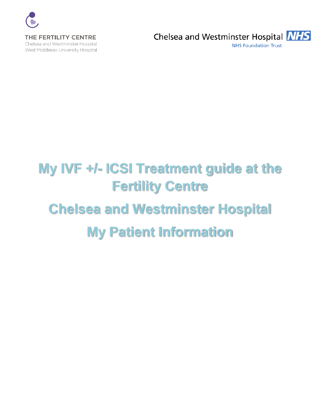

**NHS Foundation Trust** 

# **My IVF +/- ICSI Treatment guide at the Fertility Centre Chelsea and Westminster Hospital My Patient Information**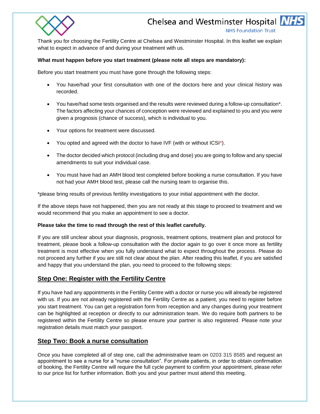

**NHS Foundation Trust** 

Thank you for choosing the Fertility Centre at Chelsea and Westminster Hospital. In this leaflet we explain what to expect in advance of and during your treatment with us.

#### **What must happen before you start treatment (please note all steps are mandatory):**

Before you start treatment you must have gone through the following steps:

- You have/had your first consultation with one of the doctors here and your clinical history was recorded.
- You have/had some tests organised and the results were reviewed during a follow-up consultation\*. The factors affecting your chances of conception were reviewed and explained to you and you were given a prognosis (chance of success), which is individual to you.
- Your options for treatment were discussed.
- You opted and agreed with the doctor to have IVF (with or without ICSI\*).
- The doctor decided which protocol (including drug and dose) you are going to follow and any special amendments to suit your individual case.
- You must have had an AMH blood test completed before booking a nurse consultation. If you have not had your AMH blood test, please call the nursing team to organise this.

\*please bring results of previous fertility investigations to your initial appointment with the doctor.

If the above steps have not happened, then you are not ready at this stage to proceed to treatment and we would recommend that you make an appointment to see a doctor.

#### **Please take the time to read through the rest of this leaflet carefully.**

If you are still unclear about your diagnosis, prognosis, treatment options, treatment plan and protocol for treatment, please book a follow-up consultation with the doctor again to go over it once more as fertility treatment is most effective when you fully understand what to expect throughout the process. Please do not proceed any further if you are still not clear about the plan. After reading this leaflet, if you are satisfied and happy that you understand the plan, you need to proceed to the following steps:

## **Step One: Register with the Fertility Centre**

If you have had any appointments in the Fertility Centre with a doctor or nurse you will already be registered with us. If you are not already registered with the Fertility Centre as a patient, you need to register before you start treatment. You can get a registration form from reception and any changes during your treatment can be highlighted at reception or directly to our administration team. We do require both partners to be registered within the Fertility Centre so please ensure your partner is also registered. Please note your registration details must match your passport.

## **Step Two: Book a nurse consultation**

Once you have completed all of step one, call the administrative team on 0203 315 8585 and request an appointment to see a nurse for a "nurse consultation". For private patients, in order to obtain confirmation of booking, the Fertility Centre will require the full cycle payment to confirm your appointment, please refer to our price list for further information. Both you and your partner must attend this meeting.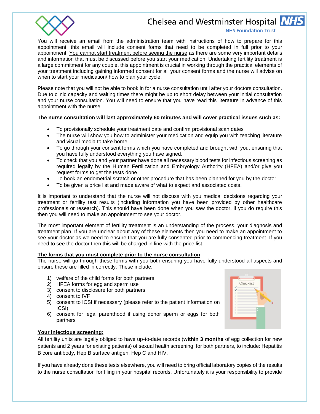

#### **NHS Foundation Trust**

You will receive an email from the administration team with instructions of how to prepare for this appointment, this email will include consent forms that need to be completed in full prior to your appointment. You cannot start treatment before seeing the nurse as there are some very important details and information that must be discussed before you start your medication. Undertaking fertility treatment is a large commitment for any couple, this appointment is crucial in working through the practical elements of your treatment including gaining informed consent for all your consent forms and the nurse will advise on when to start your medication/ how to plan your cycle.

Please note that you will not be able to book in for a nurse consultation until after your doctors consultation. Due to clinic capacity and waiting times there might be up to short delay between your initial consultation and your nurse consultation. You will need to ensure that you have read this literature in advance of this appointment with the nurse.

## **The nurse consultation will last approximately 60 minutes and will cover practical issues such as:**

- To provisionally schedule your treatment date and confirm provisional scan dates
- The nurse will show you how to administer your medication and equip you with teaching literature and visual media to take home.
- To go through your consent forms which you have completed and brought with you, ensuring that you have fully understood everything you have signed.
- To check that you and your partner have done all necessary blood tests for infectious screening as required legally by the Human Fertilization and Embryology Authority (HFEA) and/or give you request forms to get the tests done.
- To book an endometrial scratch or other procedure that has been planned for you by the doctor.
- To be given a price list and made aware of what to expect and associated costs.

It is important to understand that the nurse will not discuss with you medical decisions regarding your treatment or fertility test results (including information you have been provided by other healthcare professionals or research). This should have been done when you saw the doctor, if you do require this then you will need to make an appointment to see your doctor.

The most important element of fertility treatment is an understanding of the process, your diagnosis and treatment plan. If you are unclear about any of these elements then you need to make an appointment to see your doctor as we need to ensure that you are fully consented prior to commencing treatment. If you need to see the doctor then this will be charged in line with the price list.

#### **The forms that you must complete prior to the nurse consultation**

The nurse will go through these forms with you both ensuring you have fully understood all aspects and ensure these are filled in correctly. These include:

- 1) welfare of the child forms for both partners
- 2) HFEA forms for egg and sperm use
- 3) consent to disclosure for both partners
- 4) consent to IVF
- 5) consent to ICSI if necessary (please refer to the patient information on ICSI)
- 6) consent for legal parenthood if using donor sperm or eggs for both partners

## **Your infectious screening:**

All fertility units are legally obliged to have up-to-date records (**within 3 months** of egg collection for new patients and 2 years for existing patients) of sexual health screening, for both partners, to include: Hepatitis B core antibody, Hep B surface antigen, Hep C and HIV.

If you have already done these tests elsewhere, you will need to bring official laboratory copies of the results to the nurse consultation for filing in your hospital records. Unfortunately it is your responsibility to provide

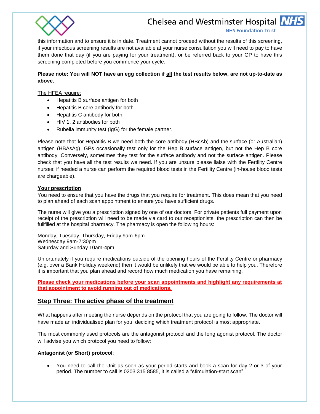

**NHS Foundation Trust** 

this information and to ensure it is in date. Treatment cannot proceed without the results of this screening, if your infectious screening results are not available at your nurse consultation you will need to pay to have them done that day (if you are paying for your treatment), or be referred back to your GP to have this screening completed before you commence your cycle.

## **Please note: You will NOT have an egg collection if all the test results below, are not up-to-date as above.**

The HFEA require:

- Hepatitis B surface antigen for both
- Hepatitis B core antibody for both
- Hepatitis C antibody for both
- HIV 1, 2 antibodies for both
- Rubella immunity test (IgG) for the female partner.

Please note that for Hepatitis B we need both the core antibody (HBcAb) and the surface (or Australian) antigen (HBAsAg). GPs occasionally test only for the Hep B surface antigen, but not the Hep B core antibody. Conversely, sometimes they test for the surface antibody and not the surface antigen. Please check that you have all the test results we need. If you are unsure please liaise with the Fertility Centre nurses; if needed a nurse can perform the required blood tests in the Fertility Centre (in-house blood tests are chargeable).

#### **Your prescription**

You need to ensure that you have the drugs that you require for treatment. This does mean that you need to plan ahead of each scan appointment to ensure you have sufficient drugs.

The nurse will give you a prescription signed by one of our doctors. For private patients full payment upon receipt of the prescription will need to be made via card to our receptionists, the prescription can then be fullfilled at the hospital pharmacy. The pharmacy is open the following hours:

Monday, Tuesday, Thursday, Friday 9am-6pm Wednesday 9am-7:30pm Saturday and Sunday 10am-4pm

Unfortunately if you require medications outside of the opening hours of the Fertility Centre or pharmacy (e.g. over a Bank Holiday weekend) then it would be unlikely that we would be able to help you. Therefore it is important that you plan ahead and record how much medication you have remaining.

**Please check your medications before your scan appointments and highlight any requirements at that appointment to avoid running out of medications.** 

## **Step Three: The active phase of the treatment**

What happens after meeting the nurse depends on the protocol that you are going to follow. The doctor will have made an individualised plan for you, deciding which treatment protocol is most appropriate.

The most commonly used protocols are the antagonist protocol and the long agonist protocol. The doctor will advise you which protocol you need to follow:

#### **Antagonist (or Short) protocol**:

 You need to call the Unit as soon as your period starts and book a scan for day 2 or 3 of your period. The number to call is 0203 315 8585, it is called a "stimulation-start scan".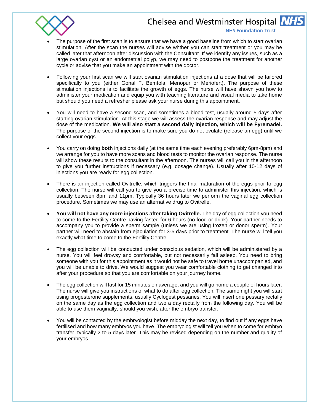

#### **NHS Foundation Trust**

- The purpose of the first scan is to ensure that we have a good baseline from which to start ovarian stimulation. After the scan the nurses will advise whther you can start treatment or you may be called later that afternoon after discussion with the Consultant. If we identify any issues, such as a large ovarian cyst or an endometrial polyp, we may need to postpone the treatment for another cycle or advise that you make an appointment with the doctor.
- Following your first scan we will start ovarian stimulation injections at a dose that will be tailored specifically to you (either Gonal F, Bemfola, Menopur or Meriofert). The purpose of these stimulation injections is to facilitate the growth of eggs. The nurse will have shown you how to administer your medication and equip you with teaching literature and visual media to take home but should you need a refresher please ask your nurse during this appointment.
- You will need to have a second scan, and sometimes a blood test, usually around 5 days after starting ovarian stimulation. At this stage we will assess the ovarian response and may adjust the dose of the medication. **We will also start a second daily injection, which will be Fyremadel.**  The purpose of the second injection is to make sure you do not ovulate (release an egg) until we collect your eggs.
- You carry on doing **both** injections daily (at the same time each evening preferably 6pm-8pm) and we arrange for you to have more scans and blood tests to monitor the ovarian response. The nurse will show these results to the consultant in the afternoon. The nurses will call you in the afternoon to give you further instructions if necessary (e.g. dosage change). Usually after 10-12 days of injections you are ready for egg collection.
- There is an injection called Ovitrelle, which triggers the final maturation of the eggs prior to egg collection. The nurse will call you to give you a precise time to administer this injection, which is usually between 8pm and 11pm. Typically 36 hours later we perform the vaginal egg collection procedure. Sometimes we may use an alternative drug to Ovitrelle.
- **You will not have any more injections after taking Ovitrelle.** The day of egg collection you need to come to the Fertility Centre having fasted for 6 hours (no food or drink). Your partner needs to accompany you to provide a sperm sample (unless we are using frozen or donor sperm). Your partner will need to abstain from ejaculation for 3-5 days prior to treatment. The nurse will tell you exactly what time to come to the Fertility Centre.
- The egg collection will be conducted under conscious sedation, which will be administered by a nurse. You will feel drowsy and comfortable, but not necessarily fall asleep. You need to bring someone with you for this appointment as it would not be safe to travel home unaccompanied, and you will be unable to drive. We would suggest you wear comfortable clothing to get changed into after your procedure so that you are comfortable on your journey home.
- The egg collection will last for 15 minutes on average, and you will go home a couple of hours later. The nurse will give you instructions of what to do after egg collection. The same night you will start using progesterone supplements, usually Cyclogest pessaries. You will insert one pessary rectally on the same day as the egg collection and two a day rectally from the following day. You will be able to use them vaginally, should you wish, after the embryo transfer.
- You will be contacted by the embryologist before midday the next day, to find out if any eggs have fertilised and how many embryos you have. The embryologist will tell you when to come for embryo transfer, typically 2 to 5 days later. This may be revised depending on the number and quality of your embryos.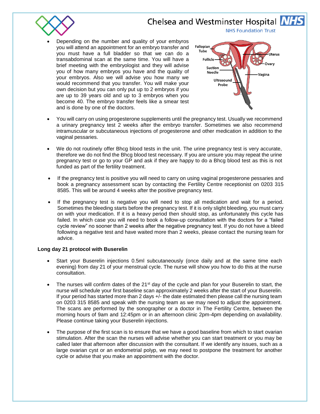

 Depending on the number and quality of your embyros you will attend an appointment for an embryo transfer and you must have a full bladder so that we can do a transabdominal scan at the same time. You will have a brief meeting with the embryologist and they will advise you of how many embryos you have and the quality of your embryos. Also we will advise you how many we would recommend that you transfer. You will make your own decision but you can only put up to 2 embryos if you are up to 39 years old and up to 3 embryos when you become 40. The embryo transfer feels like a smear test and is done by one of the doctors.



**NHS Foundation Trust** 

- You will carry on using progesterone supplements until the pregnancy test. Usually we recommend a urinary pregnancy test 2 weeks after the embryo transfer. Sometimes we also recommend intramuscular or subcutaneous injections of progesterone and other medication in addition to the vaginal pessaries.
- We do not routinely offer Bhcg blood tests in the unit. The urine pregnancy test is very accurate, therefore we do not find the Bhcg blood test necessary. If you are unsure you may repeat the urine pregnancy test or go to your GP and ask if they are happy to do a Bhcg blood test as this is not funded as part of the fertility treatment.
- If the pregnancy test is positive you will need to carry on using vaginal progesterone pessaries and book a pregnancy assessment scan by contacting the Fertility Centre receptionist on 0203 315 8585. This will be around 4 weeks after the positive pregnancy test.
- If the pregnancy test is negative you will need to stop all medication and wait for a period. Sometimes the bleeding starts before the pregnancy test. If it is only slight bleeding, you must carry on with your medication. If it is a heavy period then should stop, as unfortunately this cycle has failed. In which case you will need to book a follow-up consultation with the doctors for a "failed cycle review" no sooner than 2 weeks after the negative pregnancy test. If you do not have a bleed following a negative test and have waited more than 2 weeks, please contact the nursing team for advice.

## **Long day 21 protocol with Buserelin**

- Start your Buserelin injections 0.5ml subcutaneously (once daily and at the same time each evening) from day 21 of your menstrual cycle. The nurse will show you how to do this at the nurse consultation.
- The nurses will confirm dates of the 21<sup>st</sup> day of the cycle and plan for your Buserelin to start, the nurse will schedule your first baseline scan approximately 2 weeks after the start of your Buserelin. If your period has started more than 2 days +/- the date estimated then please call the nursing team on 0203 315 8585 and speak with the nursing team as we may need to adjust the appointment. The scans are performed by the sonographer or a doctor in The Fertility Centre, between the morning hours of 9am and 12:45pm or in an afternoon clinic 2pm-4pm depending on availability. Please continue taking your Buserelin injections.
- The purpose of the first scan is to ensure that we have a good baseline from which to start ovarian stimulation. After the scan the nurses will advise whether you can start treatment or you may be called later that afternoon after discussion with the consultant. If we identify any issues, such as a large ovarian cyst or an endometrial polyp, we may need to postpone the treatment for another cycle or advise that you make an appointment with the doctor.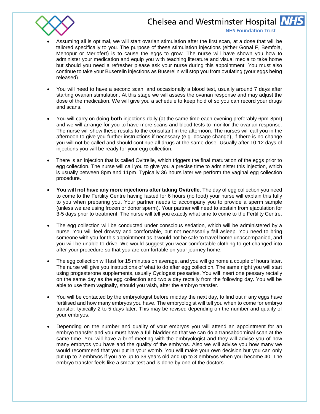

#### **NHS Foundation Trust**

- Assuming all is optimal, we will start ovarian stimulation after the first scan, at a dose that will be tailored specifically to you. The purpose of these stimulation injections (either Gonal F, Bemfola, Menopur or Meriofert) is to cause the eggs to grow. The nurse will have shown you how to administer your medication and equip you with teaching literature and visual media to take home but should you need a refresher please ask your nurse during this appointment. You must also continue to take your Buserelin injections as Buserelin will stop you from ovulating (your eggs being released).
- You will need to have a second scan, and occasionally a blood test, usually around 7 days after starting ovarian stimulation. At this stage we will assess the ovarian response and may adjust the dose of the medication. We will give you a schedule to keep hold of so you can record your drugs and scans.
- You will carry on doing **both** injections daily (at the same time each evening preferably 6pm-8pm) and we will arrange for you to have more scans and blood tests to monitor the ovarian response. The nurse will show these results to the consultant in the afternoon. The nurses will call you in the afternoon to give you further instructions if necessary (e.g. dosage change), if there is no change you will not be called and should continue all drugs at the same dose. Usually after 10-12 days of injections you will be ready for your egg collection.
- There is an injection that is called Ovitrelle, which triggers the final maturation of the eggs prior to egg collection. The nurse will call you to give you a precise time to administer this injection, which is usually between 8pm and 11pm. Typically 36 hours later we perform the vaginal egg collection procedure.
- **You will not have any more injections after taking Ovitrelle**. The day of egg collection you need to come to the Fertility Centre having fasted for 6 hours (no food) your nurse will explain this fully to you when preparing you. Your partner needs to accompany you to provide a sperm sample (unless we are using frozen or donor sperm). Your partner will need to abstain from ejaculation for 3-5 days prior to treatment. The nurse will tell you exactly what time to come to the Fertility Centre.
- The egg collection will be conducted under conscious sedation, which will be administered by a nurse. You will feel drowsy and comfortable, but not necessarily fall asleep. You need to bring someone with you for this appointment as it would not be safe to travel home unaccompanied, and you will be unable to drive. We would suggest you wear comfortable clothing to get changed into after your procedure so that you are comfortable on your journey home.
- The egg collection will last for 15 minutes on average, and you will go home a couple of hours later. The nurse will give you instructions of what to do after egg collection. The same night you will start using progesterone supplements, usually Cyclogest pessaries. You will insert one pessary rectally on the same day as the egg collection and two a day rectally from the following day. You will be able to use them vaginally, should you wish, after the embryo transfer.
- You will be contacted by the embryologist before midday the next day, to find out if any eggs have fertilised and how many embryos you have. The embryologist will tell you when to come for embryo transfer, typically 2 to 5 days later. This may be revised depending on the number and quality of your embryos.
- Depending on the number and quality of your embryos you will attend an appointment for an embryo transfer and you must have a full bladder so that we can do a transabdominal scan at the same time. You will have a brief meeting with the embryologist and they will advise you of how many embryos you have and the quality of the embyros. Also we will advise you how many we would recommend that you put in your womb. You will make your own decision but you can only put up to 2 embryos if you are up to 39 years old and up to 3 embryos when you become 40. The embryo transfer feels like a smear test and is done by one of the doctors.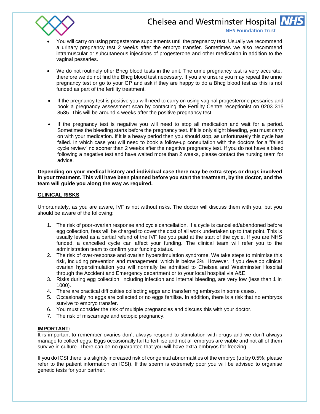

#### **NHS Foundation Trust**

- You will carry on using progesterone supplements until the pregnancy test. Usually we recommend a urinary pregnancy test 2 weeks after the embryo transfer. Sometimes we also recommend intramuscular or subcutaneous injections of progesterone and other medication in addition to the vaginal pessaries.
- We do not routinely offer Bhcg blood tests in the unit. The urine pregnancy test is very accurate, therefore we do not find the Bhcg blood test necessary. If you are unsure you may repeat the urine pregnancy test or go to your GP and ask if they are happy to do a Bhcg blood test as this is not funded as part of the fertility treatment.
- If the pregnancy test is positive you will need to carry on using vaginal progesterone pessaries and book a pregnancy assessment scan by contacting the Fertility Centre receptionist on 0203 315 8585. This will be around 4 weeks after the positive pregnancy test.
- If the pregnancy test is negative you will need to stop all medication and wait for a period. Sometimes the bleeding starts before the pregnancy test. If it is only slight bleeding, you must carry on with your medication. If it is a heavy period then you should stop, as unfortunately this cycle has failed. In which case you will need to book a follow-up consultation with the doctors for a "failed cycle review" no sooner than 2 weeks after the negative pregnancy test. If you do not have a bleed following a negative test and have waited more than 2 weeks, please contact the nursing team for advice.

**Depending on your medical history and individual case there may be extra steps or drugs involved in your treatment. This will have been planned before you start the treatment, by the doctor, and the team will guide you along the way as required.**

#### **CLINICAL RISKS**

Unfortunately, as you are aware, IVF is not without risks. The doctor will discuss them with you, but you should be aware of the following:

- 1. The risk of poor-ovarian response and cycle cancellation. If a cycle is cancelled/abandoned before egg collection, fees will be charged to cover the cost of all work undertaken up to that point. This is usually levied as a partial refund of the IVF fee you paid at the start of the cycle. If you are NHS funded, a cancelled cycle can affect your funding. The clinical team will refer you to the administration team to confirm your funding status.
- 2. The risk of over-response and ovarian hyperstimulation syndrome. We take steps to minimise this risk, including prevention and management, which is below 3%. However, if you develop clinical ovarian hyperstimulation you will normally be admitted to Chelsea and Westminster Hospital through the Accident and Emergency department or to your local hospital via A&E.
- 3. Risks during egg collection, including infection and internal bleeding, are very low (less than 1 in 1000).
- 4. There are practical difficulties collecting eggs and transferring embryos in some cases.
- 5. Occasionally no eggs are collected or no eggs fertilise. In addition, there is a risk that no embryos survive to embryo transfer.
- 6. You must consider the risk of multiple pregnancies and discuss this with your doctor.
- 7. The risk of miscarriage and ectopic pregnancy.

#### **IMPORTANT:**

It is important to remember ovaries don't always respond to stimulation with drugs and we don't always manage to collect eggs. Eggs occasionally fail to fertilise and not all embryos are viable and not all of them survive in culture. There can be no guarantee that you will have extra embryos for freezing.

If you do ICSI there is a slightly increased risk of congenital abnormalities of the embryo (up by 0.5%; please refer to the patient information on ICSI). If the sperm is extremely poor you will be advised to organise genetic tests for your partner.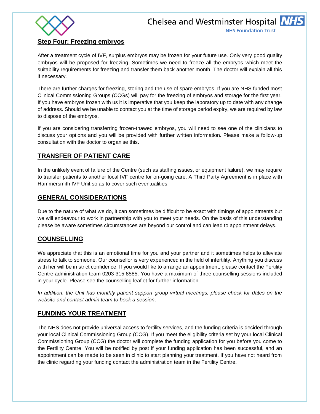



## **Step Four: Freezing embryos**

After a treatment cycle of IVF, surplus embryos may be frozen for your future use. Only very good quality embryos will be proposed for freezing. Sometimes we need to freeze all the embryos which meet the suitability requirements for freezing and transfer them back another month. The doctor will explain all this if necessary.

There are further charges for freezing, storing and the use of spare embryos. If you are NHS funded most Clinical Commissioning Groups (CCGs) will pay for the freezing of embryos and storage for the first year. If you have embryos frozen with us it is imperative that you keep the laboratory up to date with any change of address. Should we be unable to contact you at the time of storage period expiry, we are required by law to dispose of the embryos.

If you are considering transferring frozen-thawed embryos, you will need to see one of the clinicians to discuss your options and you will be provided with further written information. Please make a follow-up consultation with the doctor to organise this.

# **TRANSFER OF PATIENT CARE**

In the unlikely event of failure of the Centre (such as staffing issues, or equipment failure), we may require to transfer patients to another local IVF centre for on-going care. A Third Party Agreement is in place with Hammersmith IVF Unit so as to cover such eventualities.

# **GENERAL CONSIDERATIONS**

Due to the nature of what we do, it can sometimes be difficult to be exact with timings of appointments but we will endeavour to work in partnership with you to meet your needs. On the basis of this understanding please be aware sometimes circumstances are beyond our control and can lead to appointment delays.

# **COUNSELLING**

We appreciate that this is an emotional time for you and your partner and it sometimes helps to alleviate stress to talk to someone. Our counsellor is very experienced in the field of infertility. Anything you discuss with her will be in strict confidence. If you would like to arrange an appointment, please contact the Fertility Centre administration team 0203 315 8585. You have a maximum of three counselling sessions included in your cycle. Please see the counselling leaflet for further information.

*In addition, the Unit has monthly patient support group virtual meetings; please check for dates on the website and contact admin team to book a session*.

# **FUNDING YOUR TREATMENT**

The NHS does not provide universal access to fertility services, and the funding criteria is decided through your local Clinical Commissioning Group (CCG). If you meet the eligibility criteria set by your local Clinical Commissioning Group (CCG) the doctor will complete the funding application for you before you come to the Fertility Centre. You will be notified by post if your funding application has been successful, and an appointment can be made to be seen in clinic to start planning your treatment. If you have not heard from the clinic regarding your funding contact the administration team in the Fertility Centre.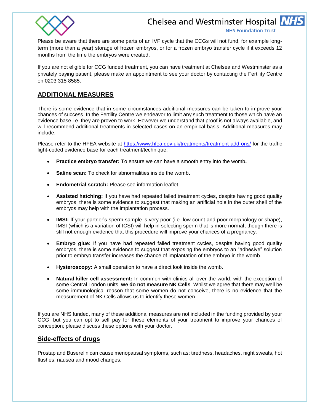

**NHS Foundation Trust** 

Please be aware that there are some parts of an IVF cycle that the CCGs will not fund, for example longterm (more than a year) storage of frozen embryos, or for a frozen embryo transfer cycle if it exceeds 12 months from the time the embryos were created.

If you are not eligible for CCG funded treatment, you can have treatment at Chelsea and Westminster as a privately paying patient, please make an appointment to see your doctor by contacting the Fertility Centre on 0203 315 8585.

# **ADDITIONAL MEASURES**

There is some evidence that in some circumstances additional measures can be taken to improve your chances of success. In the Fertility Centre we endeavor to limit any such treatment to those which have an evidence base i.e. they are proven to work. However we understand that proof is not always available, and will recommend additional treatments in selected cases on an empirical basis. Additional measures may include:

Please refer to the HFEA website at <https://www.hfea.gov.uk/treatments/treatment-add-ons/> for the traffic light-coded evidence base for each treatment/technique.

- **Practice embryo transfer:** To ensure we can have a smooth entry into the womb**.**
- **Saline scan:** To check for abnormalities inside the womb**.**
- **Endometrial scratch:** Please see information leaflet.
- **Assisted hatching:** If you have had repeated failed treatment cycles, despite having good quality embryos, there is some evidence to suggest that making an artificial hole in the outer shell of the embryos may help with the implantation process.
- **IMSI:** If your partner's sperm sample is very poor (i.e. low count and poor morphology or shape), IMSI (which is a variation of ICSI) will help in selecting sperm that is more normal; though there is still not enough evidence that this procedure will improve your chances of a pregnancy.
- **Embryo glue:** If you have had repeated failed treatment cycles, despite having good quality embryos, there is some evidence to suggest that exposing the embryos to an "adhesive" solution prior to embryo transfer increases the chance of implantation of the embryo in the womb.
- **Hysteroscopy:** A small operation to have a direct look inside the womb.
- **Natural killer cell assessment:** In common with clinics all over the world, with the exception of some Central London units, **we do not measure NK Cells**. Whilst we agree that there may well be some immunological reason that some women do not conceive, there is no evidence that the measurement of NK Cells allows us to identify these women.

If you are NHS funded, many of these additional measures are not included in the funding provided by your CCG, but you can opt to self pay for these elements of your treatment to improve your chances of conception; please discuss these options with your doctor.

# **Side-effects of drugs**

Prostap and Buserelin can cause menopausal symptoms, such as: tiredness, headaches, night sweats, hot flushes, nausea and mood changes.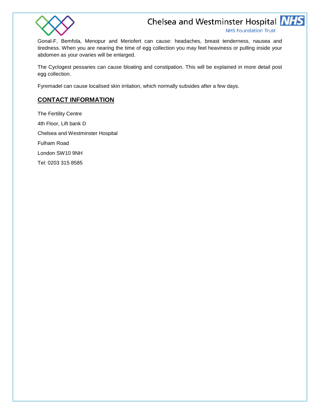

**NHS Foundation Trust** 

Gonal-F, Bemfola, Menopur and Meriofert can cause: headaches, breast tenderness, nausea and tiredness. When you are nearing the time of egg collection you may feel heaviness or pulling inside your abdomen as your ovaries will be enlarged.

The Cyclogest pessaries can cause bloating and constipation. This will be explained in more detail post egg collection.

Fyremadel can cause localised skin irritation, which normally subsides after a few days.

# **CONTACT INFORMATION**

The Fertility Centre 4th Floor, Lift bank D Chelsea and Westminster Hospital Fulham Road London SW10 9NH Tel: 0203 315 8585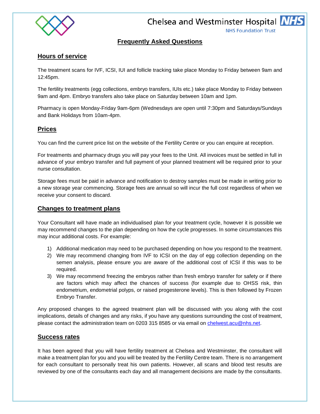

**NHS Foundation Trust** 

# **Frequently Asked Questions**

# **Hours of service**

The treatment scans for IVF, ICSI, IUI and follicle tracking take place Monday to Friday between 9am and 12:45pm.

The fertility treatments (egg collections, embryo transfers, IUIs etc.) take place Monday to Friday between 9am and 4pm. Embryo transfers also take place on Saturday between 10am and 1pm.

Pharmacy is open Monday-Friday 9am-6pm (Wednesdays are open until 7:30pm and Saturdays/Sundays and Bank Holidays from 10am-4pm.

# **Prices**

You can find the current price list on the website of the Fertility Centre or you can enquire at reception.

For treatments and pharmacy drugs you will pay your fees to the Unit. All invoices must be settled in full in advance of your embryo transfer and full payment of your planned treatment will be required prior to your nurse consultation.

Storage fees must be paid in advance and notification to destroy samples must be made in writing prior to a new storage year commencing. Storage fees are annual so will incur the full cost regardless of when we receive your consent to discard.

## **Changes to treatment plans**

Your Consultant will have made an individualised plan for your treatment cycle, however it is possible we may recommend changes to the plan depending on how the cycle progresses. In some circumstances this may incur additional costs. For example:

- 1) Additional medication may need to be purchased depending on how you respond to the treatment.
- 2) We may recommend changing from IVF to ICSI on the day of egg collection depending on the semen analysis, please ensure you are aware of the additional cost of ICSI if this was to be required.
- 3) We may recommend freezing the embryos rather than fresh embryo transfer for safety or if there are factors which may affect the chances of success (for example due to OHSS risk, thin endometrium, endometrial polyps, or raised progesterone levels). This is then followed by Frozen Embryo Transfer.

Any proposed changes to the agreed treatment plan will be discussed with you along with the cost implications, details of changes and any risks, if you have any questions surrounding the cost of treatment, please contact the administration team on 0203 315 8585 or via email on [chelwest.acu@nhs.net.](mailto:chelwest.acu@nhs.net)

## **Success rates**

It has been agreed that you will have fertility treatment at Chelsea and Westminster, the consultant will make a treatment plan for you and you will be treated by the Fertility Centre team. There is no arrangement for each consultant to personally treat his own patients. However, all scans and blood test results are reviewed by one of the consultants each day and all management decisions are made by the consultants.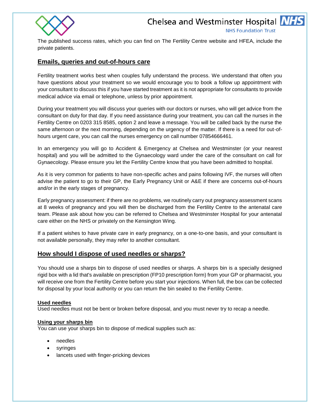



**NHS Foundation Trust** 

The published success rates, which you can find on The Fertility Centre website and HFEA, include the private patients.

# **Emails, queries and out-of-hours care**

Fertility treatment works best when couples fully understand the process. We understand that often you have questions about your treatment so we would encourage you to book a follow up appointment with your consultant to discuss this if you have started treatment as it is not appropriate for consultants to provide medical advice via email or telephone, unless by prior appointment.

During your treatment you will discuss your queries with our doctors or nurses, who will get advice from the consultant on duty for that day. If you need assistance during your treatment, you can call the nurses in the Fertility Centre on 0203 315 8585, option 2 and leave a message. You will be called back by the nurse the same afternoon or the next morning, depending on the urgency of the matter. If there is a need for out-ofhours urgent care, you can call the nurses emergency on call number 07854666461.

In an emergency you will go to Accident & Emergency at Chelsea and Westminster (or your nearest hospital) and you will be admitted to the Gynaecology ward under the care of the consultant on call for Gynaecology. Please ensure you let the Fertility Centre know that you have been admitted to hospital.

As it is very common for patients to have non-specific aches and pains following IVF, the nurses will often advise the patient to go to their GP, the Early Pregnancy Unit or A&E if there are concerns out-of-hours and/or in the early stages of pregnancy.

Early pregnancy assessment: if there are no problems, we routinely carry out pregnancy assessment scans at 8 weeks of pregnancy and you will then be discharged from the Fertility Centre to the antenatal care team. Please ask about how you can be referred to Chelsea and Westminster Hospital for your antenatal care either on the NHS or privately on the Kensington Wing.

If a patient wishes to have private care in early pregnancy, on a one-to-one basis, and your consultant is not available personally, they may refer to another consultant.

## **How should I dispose of used needles or sharps?**

You should use a sharps bin to dispose of used needles or sharps. A sharps bin is a specially designed rigid box with a lid that's available on prescription (FP10 prescription form) from your GP or pharmacist, you will receive one from the Fertility Centre before you start your injections. When full, the box can be collected for disposal by your local authority or you can return the bin sealed to the Fertility Centre.

## **Used needles**

Used needles must not be bent or broken before disposal, and you must never try to recap a needle.

## **Using your sharps bin**

You can use your sharps bin to dispose of medical supplies such as:

- needles
- syringes
- lancets used with finger-pricking devices